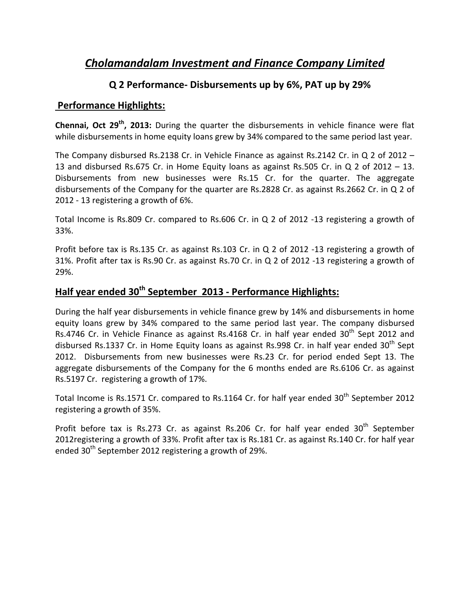# *Cholamandalam Investment and Finance Company Limited*

## **Q 2 Performance‐ Disbursements up by 6%, PAT up by 29%**

### **Performance Highlights:**

**Chennai, Oct 29th, 2013:** During the quarter the disbursements in vehicle finance were flat while disbursements in home equity loans grew by 34% compared to the same period last year.

The Company disbursed Rs.2138 Cr. in Vehicle Finance as against Rs.2142 Cr. in Q 2 of 2012 – 13 and disbursed Rs.675 Cr. in Home Equity loans as against Rs.505 Cr. in Q 2 of 2012 – 13. Disbursements from new businesses were Rs.15 Cr. for the quarter. The aggregate disbursements of the Company for the quarter are Rs.2828 Cr. as against Rs.2662 Cr. in Q 2 of 2012 ‐ 13 registering a growth of 6%.

Total Income is Rs.809 Cr. compared to Rs.606 Cr. in Q 2 of 2012 ‐13 registering a growth of 33%.

Profit before tax is Rs.135 Cr. as against Rs.103 Cr. in Q 2 of 2012 -13 registering a growth of 31%. Profit after tax is Rs.90 Cr. as against Rs.70 Cr. in Q 2 of 2012 ‐13 registering a growth of 29%.

# **Half year ended 30th September 2013 ‐ Performance Highlights:**

During the half year disbursements in vehicle finance grew by 14% and disbursements in home equity loans grew by 34% compared to the same period last year. The company disbursed Rs.4746 Cr. in Vehicle Finance as against Rs.4168 Cr. in half year ended  $30<sup>th</sup>$  Sept 2012 and disbursed Rs.1337 Cr. in Home Equity loans as against Rs.998 Cr. in half year ended  $30<sup>th</sup>$  Sept 2012. Disbursements from new businesses were Rs.23 Cr. for period ended Sept 13. The aggregate disbursements of the Company for the 6 months ended are Rs.6106 Cr. as against Rs.5197 Cr. registering a growth of 17%.

Total Income is Rs.1571 Cr. compared to Rs.1164 Cr. for half year ended 30<sup>th</sup> September 2012 registering a growth of 35%.

Profit before tax is Rs.273 Cr. as against Rs.206 Cr. for half year ended  $30<sup>th</sup>$  September 2012registering a growth of 33%. Profit after tax is Rs.181 Cr. as against Rs.140 Cr. for half year ended  $30<sup>th</sup>$  September 2012 registering a growth of 29%.